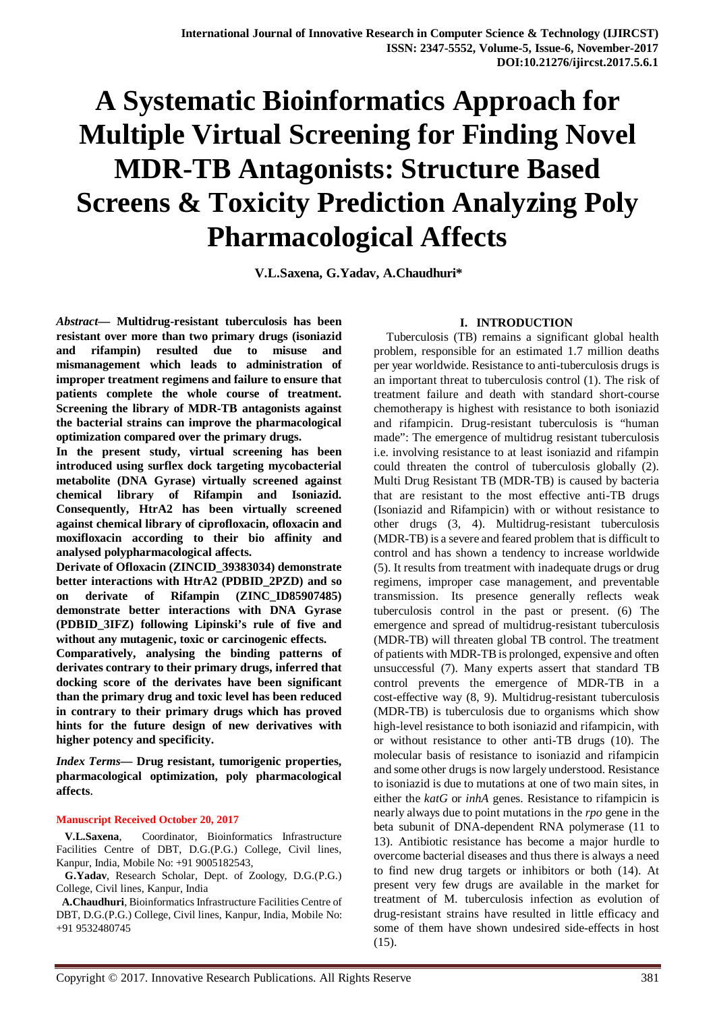# **A Systematic Bioinformatics Approach for Multiple Virtual Screening for Finding Novel MDR-TB Antagonists: Structure Based Screens & Toxicity Prediction Analyzing Poly Pharmacological Affects**

**V.L.Saxena, G.Yadav, A.Chaudhuri\***

*Abstract***— Multidrug-resistant tuberculosis has been resistant over more than two primary drugs (isoniazid and rifampin) resulted due to misuse and mismanagement which leads to administration of improper treatment regimens and failure to ensure that patients complete the whole course of treatment. Screening the library of MDR-TB antagonists against the bacterial strains can improve the pharmacological optimization compared over the primary drugs.**

**In the present study, virtual screening has been introduced using surflex dock targeting mycobacterial metabolite (DNA Gyrase) virtually screened against chemical library of Rifampin and Isoniazid. Consequently, HtrA2 has been virtually screened against chemical library of ciprofloxacin, ofloxacin and moxifloxacin according to their bio affinity and analysed polypharmacological affects.** 

**Derivate of Ofloxacin (ZINCID\_39383034) demonstrate better interactions with HtrA2 (PDBID\_2PZD) and so on derivate of Rifampin (ZINC\_ID85907485) demonstrate better interactions with DNA Gyrase (PDBID\_3IFZ) following Lipinski's rule of five and without any mutagenic, toxic or carcinogenic effects.**

**Comparatively, analysing the binding patterns of derivates contrary to their primary drugs, inferred that docking score of the derivates have been significant than the primary drug and toxic level has been reduced in contrary to their primary drugs which has proved hints for the future design of new derivatives with higher potency and specificity.**

*Index Terms***— Drug resistant, tumorigenic properties, pharmacological optimization, poly pharmacological affects**.

## **Manuscript Received October 20, 2017**

 **V.L.Saxena**, Coordinator, Bioinformatics Infrastructure Facilities Centre of DBT, D.G.(P.G.) College, Civil lines, Kanpur, India, Mobile No: +91 9005182543,

 **G.Yadav**, Research Scholar, Dept. of Zoology, D.G.(P.G.) College, Civil lines, Kanpur, India

 **A.Chaudhuri**, Bioinformatics Infrastructure Facilities Centre of DBT, D.G.(P.G.) College, Civil lines, Kanpur, India, Mobile No: +91 9532480745

# **I. INTRODUCTION**

 Tuberculosis (TB) remains a significant global health problem, responsible for an estimated 1.7 million deaths per year worldwide. Resistance to anti-tuberculosis drugs is an important threat to tuberculosis control (1). The risk of treatment failure and death with standard short-course chemotherapy is highest with resistance to both isoniazid and rifampicin. Drug-resistant tuberculosis is "human made": The emergence of multidrug resistant tuberculosis i.e. involving resistance to at least isoniazid and rifampin could threaten the control of tuberculosis globally (2). Multi Drug Resistant TB (MDR-TB) is caused by bacteria that are resistant to the most effective anti-TB drugs (Isoniazid and Rifampicin) with or without resistance to other drugs (3, 4). Multidrug-resistant tuberculosis (MDR-TB) is a severe and feared problem that is difficult to control and has shown a tendency to increase worldwide (5). It results from treatment with inadequate drugs or drug regimens, improper case management, and preventable transmission. Its presence generally reflects weak tuberculosis control in the past or present. (6) The emergence and spread of multidrug-resistant tuberculosis (MDR-TB) will threaten global TB control. The treatment of patients with MDR-TB is prolonged, expensive and often unsuccessful (7). Many experts assert that standard TB control prevents the emergence of MDR-TB in a cost-effective way (8, 9). Multidrug-resistant tuberculosis (MDR-TB) is tuberculosis due to organisms which show high-level resistance to both isoniazid and rifampicin, with or without resistance to other anti-TB drugs (10). The molecular basis of resistance to isoniazid and rifampicin and some other drugs is now largely understood. Resistance to isoniazid is due to mutations at one of two main sites, in either the *katG* or *inhA* genes. Resistance to rifampicin is nearly always due to point mutations in the *rpo* gene in the beta subunit of DNA-dependent RNA polymerase (11 to 13). Antibiotic resistance has become a major hurdle to overcome bacterial diseases and thus there is always a need to find new drug targets or inhibitors or both (14). At present very few drugs are available in the market for treatment of M. tuberculosis infection as evolution of drug-resistant strains have resulted in little efficacy and some of them have shown undesired side-effects in host (15).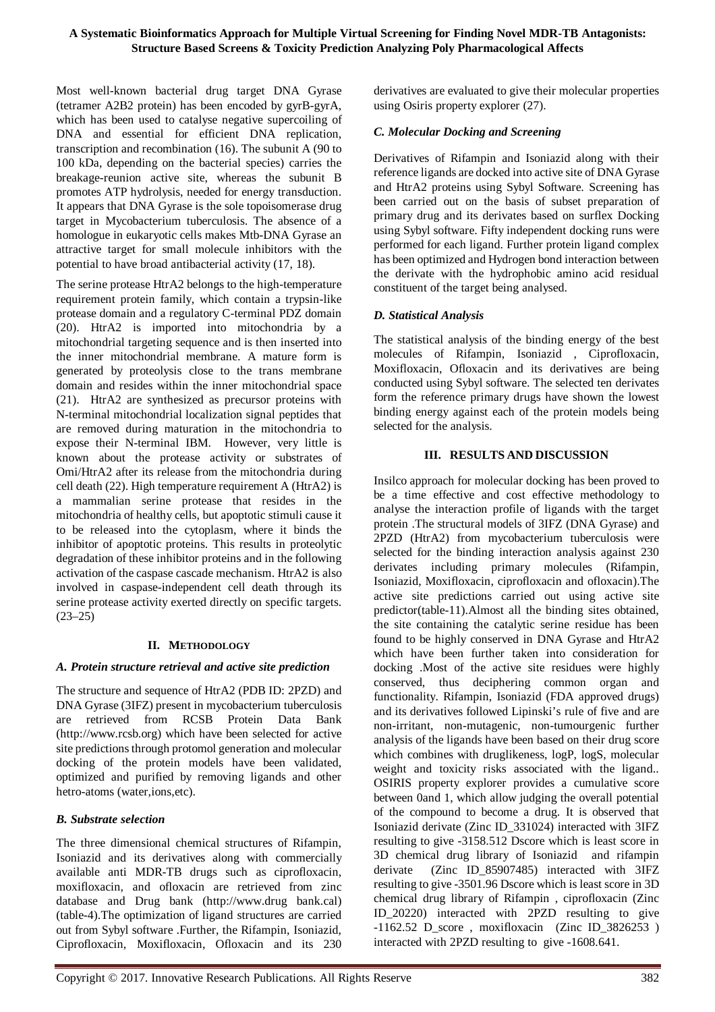Most well-known bacterial drug target DNA Gyrase (tetramer A2B2 protein) has been encoded by gyrB-gyrA, which has been used to catalyse negative supercoiling of DNA and essential for efficient DNA replication, transcription and recombination (16). The subunit A (90 to 100 kDa, depending on the bacterial species) carries the breakage-reunion active site, whereas the subunit B promotes ATP hydrolysis, needed for energy transduction. It appears that DNA Gyrase is the sole topoisomerase drug target in Mycobacterium tuberculosis. The absence of a homologue in eukaryotic cells makes Mtb-DNA Gyrase an attractive target for small molecule inhibitors with the potential to have broad antibacterial activity (17, 18).

The serine protease HtrA2 belongs to the high-temperature requirement protein family, which contain a trypsin-like protease domain and a regulatory C-terminal PDZ domain (20). HtrA2 is imported into mitochondria by a mitochondrial targeting sequence and is then inserted into the inner mitochondrial membrane. A mature form is generated by proteolysis close to the trans membrane domain and resides within the inner mitochondrial space (21). HtrA2 are synthesized as precursor proteins with N-terminal mitochondrial localization signal peptides that are removed during maturation in the mitochondria to expose their N-terminal IBM. However, very little is known about the protease activity or substrates of Omi/HtrA2 after its release from the mitochondria during cell death (22). High temperature requirement A (HtrA2) is a mammalian serine protease that resides in the mitochondria of healthy cells, but apoptotic stimuli cause it to be released into the cytoplasm, where it binds the inhibitor of apoptotic proteins. This results in proteolytic degradation of these inhibitor proteins and in the following activation of the caspase cascade mechanism. HtrA2 is also involved in caspase-independent cell death through its serine protease activity exerted directly on specific targets.  $(23-25)$ 

## **II. METHODOLOGY**

## *A. Protein structure retrieval and active site prediction*

The structure and sequence of HtrA2 (PDB ID: 2PZD) and DNA Gyrase (3IFZ) present in mycobacterium tuberculosis are retrieved from RCSB Protein Data Bank (http://www.rcsb.org) which have been selected for active site predictions through protomol generation and molecular docking of the protein models have been validated, optimized and purified by removing ligands and other hetro-atoms (water,ions,etc).

# *B. Substrate selection*

The three dimensional chemical structures of Rifampin, Isoniazid and its derivatives along with commercially available anti MDR-TB drugs such as ciprofloxacin, moxifloxacin, and ofloxacin are retrieved from zinc database and Drug bank (http://www.drug bank.cal) (table-4).The optimization of ligand structures are carried out from Sybyl software .Further, the Rifampin, Isoniazid, Ciprofloxacin, Moxifloxacin, Ofloxacin and its 230 derivatives are evaluated to give their molecular properties using Osiris property explorer (27).

## *C. Molecular Docking and Screening*

Derivatives of Rifampin and Isoniazid along with their reference ligands are docked into active site of DNA Gyrase and HtrA2 proteins using Sybyl Software. Screening has been carried out on the basis of subset preparation of primary drug and its derivates based on surflex Docking using Sybyl software. Fifty independent docking runs were performed for each ligand. Further protein ligand complex has been optimized and Hydrogen bond interaction between the derivate with the hydrophobic amino acid residual constituent of the target being analysed.

## *D. Statistical Analysis*

The statistical analysis of the binding energy of the best molecules of Rifampin, Isoniazid , Ciprofloxacin, Moxifloxacin, Ofloxacin and its derivatives are being conducted using Sybyl software. The selected ten derivates form the reference primary drugs have shown the lowest binding energy against each of the protein models being selected for the analysis.

## **III. RESULTS AND DISCUSSION**

Insilco approach for molecular docking has been proved to be a time effective and cost effective methodology to analyse the interaction profile of ligands with the target protein .The structural models of 3IFZ (DNA Gyrase) and 2PZD (HtrA2) from mycobacterium tuberculosis were selected for the binding interaction analysis against 230 derivates including primary molecules (Rifampin, Isoniazid, Moxifloxacin, ciprofloxacin and ofloxacin).The active site predictions carried out using active site predictor(table-11).Almost all the binding sites obtained, the site containing the catalytic serine residue has been found to be highly conserved in DNA Gyrase and HtrA2 which have been further taken into consideration for docking .Most of the active site residues were highly conserved, thus deciphering common organ and functionality. Rifampin, Isoniazid (FDA approved drugs) and its derivatives followed Lipinski's rule of five and are non-irritant, non-mutagenic, non-tumourgenic further analysis of the ligands have been based on their drug score which combines with druglikeness, logP, logS, molecular weight and toxicity risks associated with the ligand.. OSIRIS property explorer provides a cumulative score between 0and 1, which allow judging the overall potential of the compound to become a drug. It is observed that Isoniazid derivate (Zinc ID\_331024) interacted with 3IFZ resulting to give -3158.512 Dscore which is least score in 3D chemical drug library of Isoniazid and rifampin derivate (Zinc ID\_85907485) interacted with 3IFZ resulting to give -3501.96 Dscore which is least score in 3D chemical drug library of Rifampin , ciprofloxacin (Zinc ID\_20220) interacted with 2PZD resulting to give -1162.52 D\_score , moxifloxacin (Zinc ID\_3826253 ) interacted with 2PZD resulting to give -1608.641.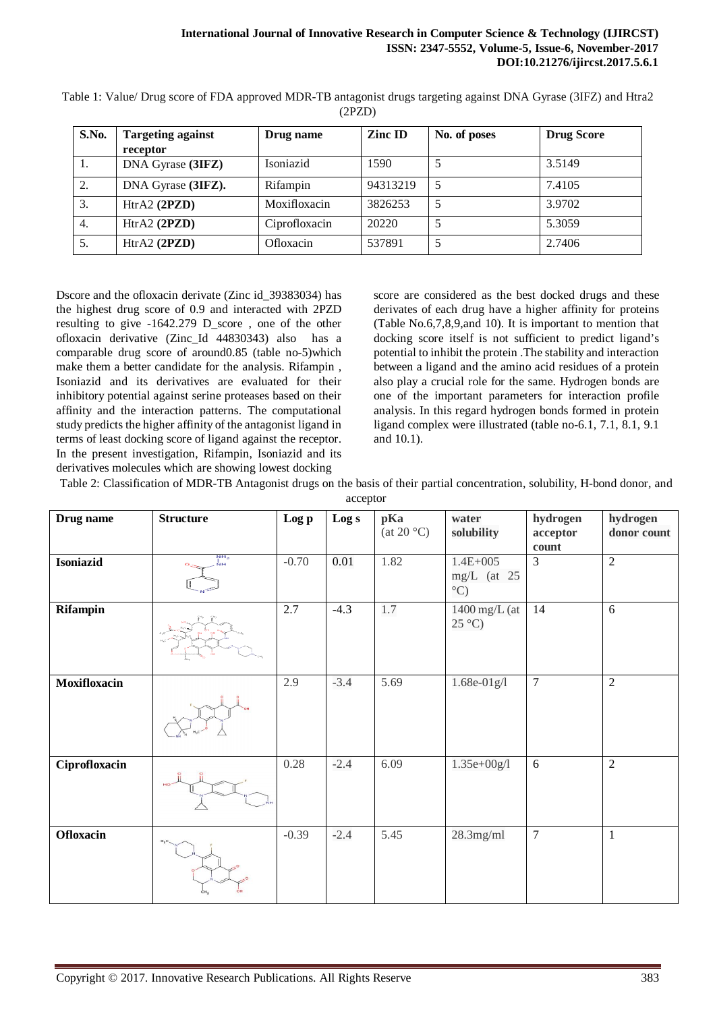| S.No. | <b>Targeting against</b><br>receptor | Drug name     | <b>Zinc ID</b> | No. of poses | <b>Drug Score</b> |
|-------|--------------------------------------|---------------|----------------|--------------|-------------------|
| 1.    | DNA Gyrase (3IFZ)                    | Isoniazid     | 1590           |              | 3.5149            |
| 2.    | DNA Gyrase (3IFZ).                   | Rifampin      | 94313219       | 5            | 7.4105            |
| 3.    | HtrA2 (2PZD)                         | Moxifloxacin  | 3826253        | 5            | 3.9702            |
| 4.    | HtrA2 (2PZD)                         | Ciprofloxacin | 20220          | 5            | 5.3059            |
| 5.    | HtrA2 (2PZD)                         | Ofloxacin     | 537891         |              | 2.7406            |

Table 1: Value/ Drug score of FDA approved MDR-TB antagonist drugs targeting against DNA Gyrase (3IFZ) and Htra2 (2PZD)

Dscore and the ofloxacin derivate (Zinc id\_39383034) has the highest drug score of 0.9 and interacted with 2PZD resulting to give -1642.279 D\_score , one of the other ofloxacin derivative (Zinc\_Id 44830343) also has a comparable drug score of around0.85 (table no-5)which make them a better candidate for the analysis. Rifampin , Isoniazid and its derivatives are evaluated for their inhibitory potential against serine proteases based on their affinity and the interaction patterns. The computational study predicts the higher affinity of the antagonist ligand in terms of least docking score of ligand against the receptor. In the present investigation, Rifampin, Isoniazid and its derivatives molecules which are showing lowest docking

score are considered as the best docked drugs and these derivates of each drug have a higher affinity for proteins (Table No.6,7,8,9,and 10). It is important to mention that docking score itself is not sufficient to predict ligand's potential to inhibit the protein .The stability and interaction between a ligand and the amino acid residues of a protein also play a crucial role for the same. Hydrogen bonds are one of the important parameters for interaction profile analysis. In this regard hydrogen bonds formed in protein ligand complex were illustrated (table no-6.1, 7.1, 8.1, 9.1 and 10.1).

Table 2: Classification of MDR-TB Antagonist drugs on the basis of their partial concentration, solubility, H-bond donor, and

| acceptor         |                             |         |        |                                      |                                                |                               |                         |
|------------------|-----------------------------|---------|--------|--------------------------------------|------------------------------------------------|-------------------------------|-------------------------|
| Drug name        | <b>Structure</b>            | Log p   | Log s  | pKa<br>(at 20 $^{\circ} \mathrm{C})$ | water<br>solubility                            | hydrogen<br>acceptor<br>count | hydrogen<br>donor count |
| <b>Isoniazid</b> | NH <sub>2</sub><br>Ňн<br>o. | $-0.70$ | 0.01   | 1.82                                 | $1.4E + 005$<br>$mg/L$ (at 25<br>$^{\circ}$ C) | $\overline{3}$                | $\overline{2}$          |
| Rifampin         |                             | 2.7     | $-4.3$ | 1.7                                  | $1400$ mg/L (at<br>$25^{\circ}$ C)             | 14                            | 6                       |
| Moxifloxacin     |                             | 2.9     | $-3.4$ | 5.69                                 | $1.68e-01g/1$                                  | $\overline{7}$                | $\overline{2}$          |
| Ciprofloxacin    |                             | 0.28    | $-2.4$ | 6.09                                 | $1.35e + 00g/1$                                | 6                             | $\overline{2}$          |
| Ofloxacin        | $H_3C$                      | $-0.39$ | $-2.4$ | 5.45                                 | $28.3$ mg/ml                                   | $\overline{7}$                | $\mathbf{1}$            |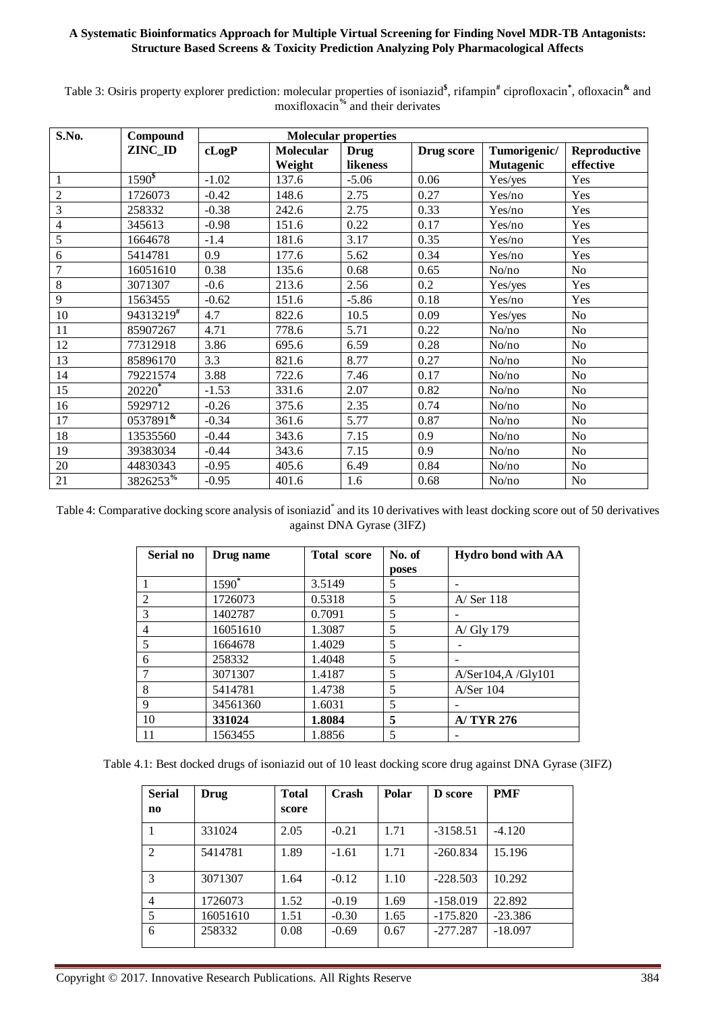## **A Systematic Bioinformatics Approach for Multiple Virtual Screening for Finding Novel MDR-TB Antagonists: Structure Based Screens & Toxicity Prediction Analyzing Poly Pharmacological Affects**

| S.No.          | Compound            | <b>Molecular properties</b> |                  |             |            |                  |                |
|----------------|---------------------|-----------------------------|------------------|-------------|------------|------------------|----------------|
|                | ZINC_ID             | cLogP                       | <b>Molecular</b> | <b>Drug</b> | Drug score | Tumorigenic/     | Reproductive   |
|                |                     |                             | Weight           | likeness    |            | <b>Mutagenic</b> | effective      |
| $\mathbf{1}$   | $1590^{\$}$         | $-1.02$                     | 137.6            | $-5.06$     | 0.06       | Yes/yes          | Yes            |
| $\sqrt{2}$     | 1726073             | $-0.42$                     | 148.6            | 2.75        | 0.27       | Yes/no           | Yes            |
| $\mathfrak{Z}$ | 258332              | $-0.38$                     | 242.6            | 2.75        | 0.33       | Yes/no           | Yes            |
| $\overline{4}$ | 345613              | $-0.98$                     | 151.6            | 0.22        | 0.17       | Yes/no           | Yes            |
| 5              | 1664678             | $-1.4$                      | 181.6            | 3.17        | 0.35       | Yes/no           | Yes            |
| 6              | 5414781             | 0.9                         | 177.6            | 5.62        | 0.34       | Yes/no           | Yes            |
| $\overline{7}$ | 16051610            | 0.38                        | 135.6            | 0.68        | 0.65       | No/no            | <b>No</b>      |
| $\,8\,$        | 3071307             | $-0.6$                      | 213.6            | 2.56        | 0.2        | Yes/yes          | Yes            |
| 9              | 1563455             | $-0.62$                     | 151.6            | $-5.86$     | 0.18       | Yes/no           | Yes            |
| 10             | 94313219#           | 4.7                         | 822.6            | 10.5        | 0.09       | Yes/yes          | N <sub>o</sub> |
| 11             | 85907267            | 4.71                        | 778.6            | 5.71        | 0.22       | No/no            | <b>No</b>      |
| 12             | 77312918            | 3.86                        | 695.6            | 6.59        | 0.28       | No/no            | N <sub>o</sub> |
| 13             | 85896170            | 3.3                         | 821.6            | 8.77        | 0.27       | No/no            | N <sub>o</sub> |
| 14             | 79221574            | 3.88                        | 722.6            | 7.46        | 0.17       | No/no            | N <sub>0</sub> |
| 15             | 20220 <sup>*</sup>  | $-1.53$                     | 331.6            | 2.07        | 0.82       | No/no            | <b>No</b>      |
| 16             | 5929712             | $-0.26$                     | 375.6            | 2.35        | 0.74       | No/no            | N <sub>o</sub> |
| 17             | $0537891^{\bar{x}}$ | $-0.34$                     | 361.6            | 5.77        | 0.87       | No/no            | N <sub>o</sub> |
| 18             | 13535560            | $-0.44$                     | 343.6            | 7.15        | 0.9        | No/no            | No             |
| 19             | 39383034            | $-0.44$                     | 343.6            | 7.15        | 0.9        | No/no            | No             |
| 20             | 44830343            | $-0.95$                     | 405.6            | 6.49        | 0.84       | No/no            | No             |
| 21             | 3826253%            | $-0.95$                     | 401.6            | 1.6         | 0.68       | No/no            | No             |

Table 3: Osiris property explorer prediction: molecular properties of isoniazid<sup>\$</sup>, rifampin<sup>#</sup> ciprofloxacin<sup>\*</sup>, ofloxacin<sup>&</sup> and moxifloxacin**%** and their derivates

Table 4: Comparative docking score analysis of isoniazid<sup>\*</sup> and its 10 derivatives with least docking score out of 50 derivatives against DNA Gyrase (3IFZ)

| Serial no | Drug name         | <b>Total score</b> | No. of | Hydro bond with AA         |
|-----------|-------------------|--------------------|--------|----------------------------|
|           |                   |                    | poses  |                            |
|           | 1590 <sup>*</sup> | 3.5149             | 5      |                            |
| 2         | 1726073           | 0.5318             | 5      | $A/$ Ser 118               |
| 3         | 1402787           | 0.7091             | 5      |                            |
| 4         | 16051610          | 1.3087             | 5      | A/ Gly 179                 |
| 5         | 1664678           | 1.4029             | 5      |                            |
| 6         | 258332            | 1.4048             | 5      |                            |
|           | 3071307           | 1.4187             | 5      | $A/$ Ser 104, A /Gly $101$ |
| 8         | 5414781           | 1.4738             | 5      | $A/$ Ser 104               |
| 9         | 34561360          | 1.6031             | 5      |                            |
| 10        | 331024            | 1.8084             | 5      | A/TYR 276                  |
| 11        | 1563455           | 1.8856             | 5      |                            |

Table 4.1: Best docked drugs of isoniazid out of 10 least docking score drug against DNA Gyrase (3IFZ)

| <b>Serial</b><br>$\mathbf{n}\mathbf{o}$ | Drug     | <b>Total</b><br>score | Crash   | Polar | <b>D</b> score | <b>PMF</b> |
|-----------------------------------------|----------|-----------------------|---------|-------|----------------|------------|
|                                         | 331024   | 2.05                  | $-0.21$ | 1.71  | $-3158.51$     | $-4.120$   |
| 2                                       | 5414781  | 1.89                  | $-1.61$ | 1.71  | $-260.834$     | 15.196     |
| 3                                       | 3071307  | 1.64                  | $-0.12$ | 1.10  | $-228.503$     | 10.292     |
| $\overline{4}$                          | 1726073  | 1.52                  | $-0.19$ | 1.69  | $-158.019$     | 22.892     |
| 5                                       | 16051610 | 1.51                  | $-0.30$ | 1.65  | $-175.820$     | $-23.386$  |
| 6                                       | 258332   | 0.08                  | $-0.69$ | 0.67  | $-277.287$     | $-18.097$  |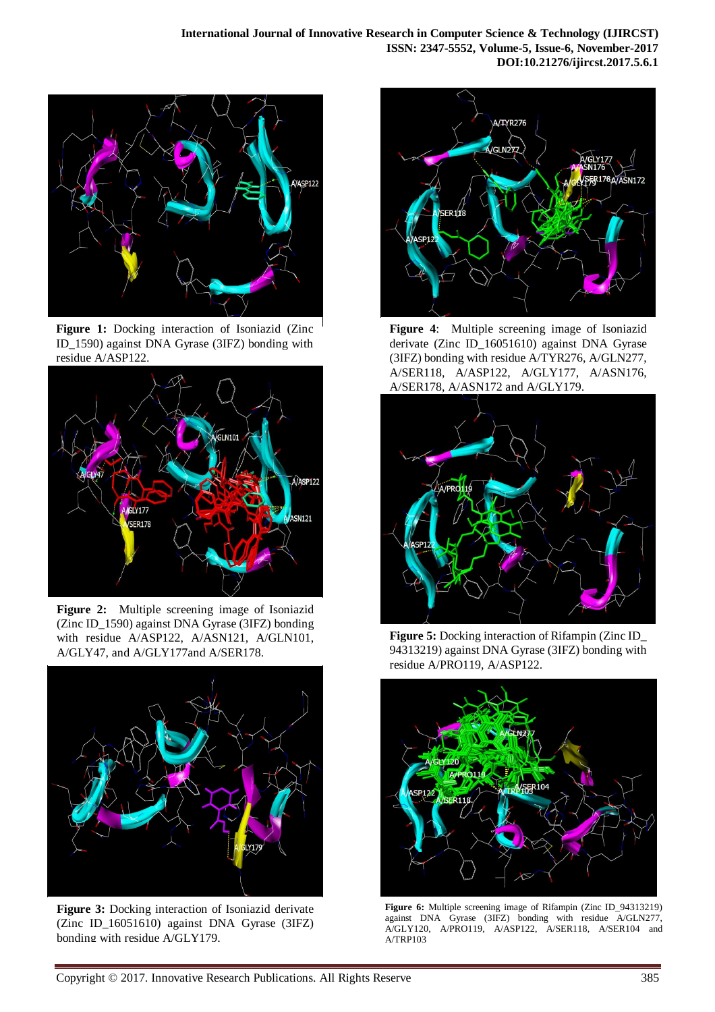





**Figure 2:** Multiple screening image of Isoniazid (Zinc ID\_1590) against DNA Gyrase (3IFZ) bonding with residue A/ASP122, A/ASN121, A/GLN101, A/GLY47, and A/GLY177and A/SER178.



**Figure 3:** Docking interaction of Isoniazid derivate (Zinc ID\_16051610) against DNA Gyrase (3IFZ) bonding with residue A/GLY179.



**Figure 4**: Multiple screening image of Isoniazid derivate (Zinc ID\_16051610) against DNA Gyrase (3IFZ) bonding with residue A/TYR276, A/GLN277, A/SER118, A/ASP122, A/GLY177, A/ASN176, A/SER178, A/ASN172 and A/GLY179.



**Figure 5:** Docking interaction of Rifampin (Zinc ID\_ 94313219) against DNA Gyrase (3IFZ) bonding with residue A/PRO119, A/ASP122.



**Figure 6:** Multiple screening image of Rifampin (Zinc ID\_94313219) against DNA Gyrase (3IFZ) bonding with residue A/GLN277, A/GLY120, A/PRO119, A/ASP122, A/SER118, A/SER104 and A/TRP103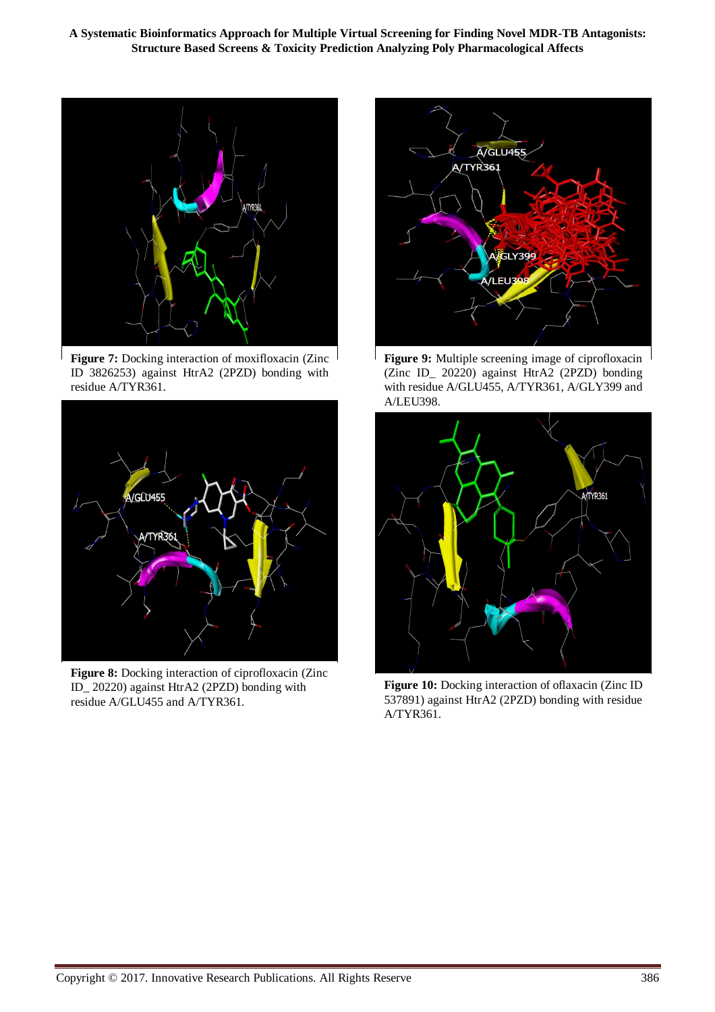**A Systematic Bioinformatics Approach for Multiple Virtual Screening for Finding Novel MDR-TB Antagonists: Structure Based Screens & Toxicity Prediction Analyzing Poly Pharmacological Affects**



Figure 7: Docking interaction of moxifloxacin (Zinc ID 3826253) against HtrA2 (2PZD) bonding with residue A/TYR361.



Figure 8: Docking interaction of ciprofloxacin (Zinc ID\_ 20220) against HtrA2 (2PZD) bonding with residue A/GLU455 and A/TYR361.



**Figure 9:** Multiple screening image of ciprofloxacin (Zinc ID\_ 20220) against HtrA2 (2PZD) bonding with residue A/GLU455, A/TYR361, A/GLY399 and A/LEU398.



**Figure 10:** Docking interaction of oflaxacin (Zinc ID 537891) against HtrA2 (2PZD) bonding with residue A/TYR361.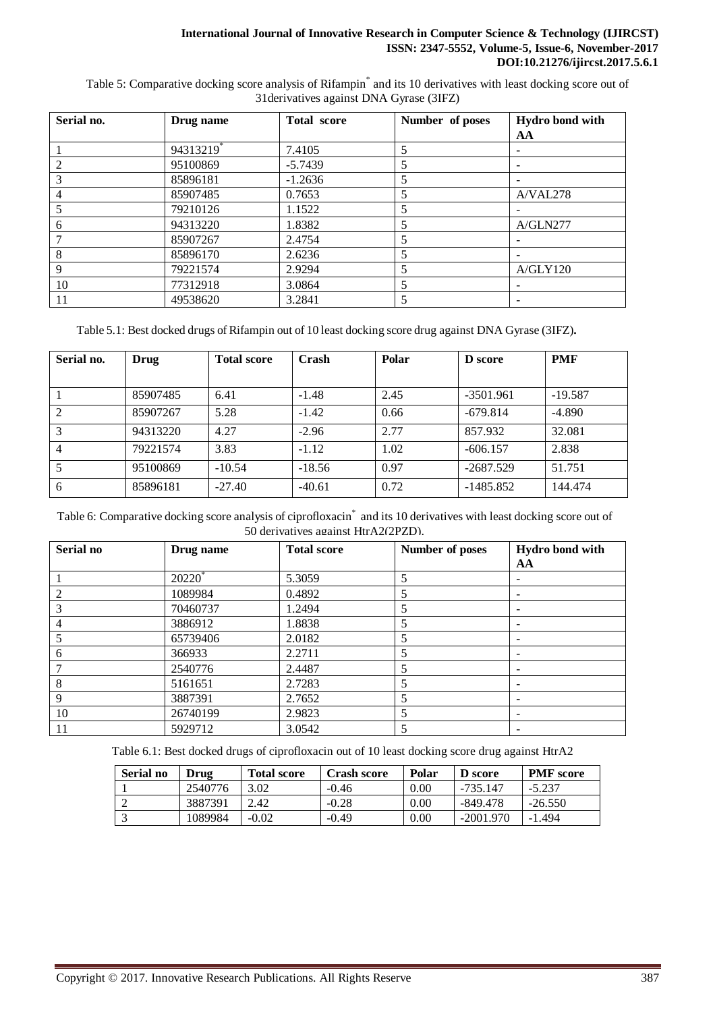## **International Journal of Innovative Research in Computer Science & Technology (IJIRCST) ISSN: 2347-5552, Volume-5, Issue-6, November-2017 DOI:10.21276/ijircst.2017.5.6.1**

Table 5: Comparative docking score analysis of Rifampin<sup>\*</sup> and its 10 derivatives with least docking score out of 31derivatives against DNA Gyrase (3IFZ)

| Serial no. | Drug name | <b>Total score</b> | Number of poses          | Hydro bond with<br>AA |
|------------|-----------|--------------------|--------------------------|-----------------------|
|            |           |                    |                          |                       |
|            | 94313219* | 7.4105             | 5                        |                       |
| 2          | 95100869  | $-5.7439$          | 5                        |                       |
| 3          | 85896181  | $-1.2636$          | 5                        |                       |
|            | 85907485  | 0.7653             | 5                        | A/VAL278              |
|            | 79210126  | 1.1522             | $\overline{\mathcal{L}}$ |                       |
| 6          | 94313220  | 1.8382             | 5                        | A/GLN277              |
|            | 85907267  | 2.4754             | 5                        |                       |
| 8          | 85896170  | 2.6236             | 5                        |                       |
| 9          | 79221574  | 2.9294             | 5                        | A/GLY120              |
| 10         | 77312918  | 3.0864             | 5                        |                       |
| 11         | 49538620  | 3.2841             | 5                        |                       |

Table 5.1: Best docked drugs of Rifampin out of 10 least docking score drug against DNA Gyrase (3IFZ)**.**

| Serial no.     | <b>Drug</b> | <b>Total score</b> | Crash    | Polar | <b>D</b> score | <b>PMF</b> |
|----------------|-------------|--------------------|----------|-------|----------------|------------|
|                |             |                    |          |       |                |            |
|                | 85907485    | 6.41               | $-1.48$  | 2.45  | $-3501.961$    | $-19.587$  |
| 2              | 85907267    | 5.28               | $-1.42$  | 0.66  | $-679.814$     | $-4.890$   |
| 3              | 94313220    | 4.27               | $-2.96$  | 2.77  | 857.932        | 32.081     |
| $\overline{4}$ | 79221574    | 3.83               | $-1.12$  | 1.02  | $-606.157$     | 2.838      |
|                | 95100869    | $-10.54$           | $-18.56$ | 0.97  | $-2687.529$    | 51.751     |
| 6              | 85896181    | $-27.40$           | $-40.61$ | 0.72  | $-1485.852$    | 144.474    |

Table 6: Comparative docking score analysis of ciprofloxacin<sup>\*</sup> and its 10 derivatives with least docking score out of 50 derivatives against HtrA2(2PZD).

| Serial no     | Drug name | <b>Total score</b> | Number of poses | Hydro bond with          |
|---------------|-----------|--------------------|-----------------|--------------------------|
|               |           |                    |                 | AA                       |
|               | $20220^*$ | 5.3059             | 5               |                          |
| $\mathcal{L}$ | 1089984   | 0.4892             | 5               |                          |
|               | 70460737  | 1.2494             | 5               | ۰                        |
|               | 3886912   | 1.8838             | 5               | $\overline{\phantom{0}}$ |
|               | 65739406  | 2.0182             | 5               |                          |
| 6             | 366933    | 2.2711             | 5               |                          |
|               | 2540776   | 2.4487             | 5               |                          |
| 8             | 5161651   | 2.7283             | 5               |                          |
| 9             | 3887391   | 2.7652             | 5               |                          |
| 10            | 26740199  | 2.9823             | 5               | $\overline{\phantom{0}}$ |
|               | 5929712   | 3.0542             | 5               | $\overline{\phantom{0}}$ |

Table 6.1: Best docked drugs of ciprofloxacin out of 10 least docking score drug against HtrA2

| Serial no | Drug    | <b>Total score</b> | Crash score | Polar    | <b>D</b> score | <b>PMF</b> score |
|-----------|---------|--------------------|-------------|----------|----------------|------------------|
|           | 2540776 | 3.02               | $-0.46$     | 0.00     | -735.147       | $-5.237$         |
|           | 3887391 | 2.42               | $-0.28$     | 0.00     | -849.478       | $-26.550$        |
|           | 1089984 | $-0.02$            | $-0.49$     | $0.00\,$ | $-2001.970$    | $-1.494$         |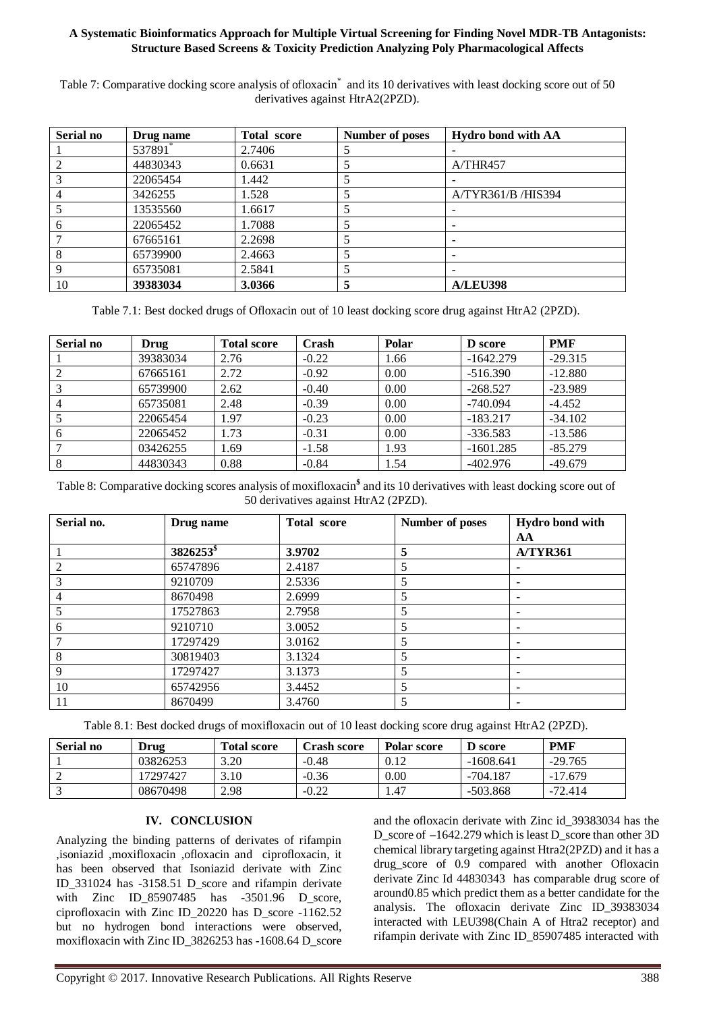## **A Systematic Bioinformatics Approach for Multiple Virtual Screening for Finding Novel MDR-TB Antagonists: Structure Based Screens & Toxicity Prediction Analyzing Poly Pharmacological Affects**

Table 7: Comparative docking score analysis of ofloxacin<sup>\*</sup> and its 10 derivatives with least docking score out of 50 derivatives against HtrA2(2PZD).

| Serial no | Drug name | <b>Total score</b> | Number of poses          | <b>Hydro bond with AA</b> |
|-----------|-----------|--------------------|--------------------------|---------------------------|
|           | 537891*   | 2.7406             |                          |                           |
|           | 44830343  | 0.6631             |                          | A/THR457                  |
|           | 22065454  | 1.442              |                          |                           |
|           | 3426255   | 1.528              | 5                        | A/TYR361/B /HIS394        |
|           | 13535560  | 1.6617             |                          |                           |
|           | 22065452  | 1.7088             | 5                        |                           |
|           | 67665161  | 2.2698             | $\overline{\mathcal{L}}$ | -                         |
|           | 65739900  | 2.4663             | 5                        | -                         |
| 9         | 65735081  | 2.5841             | 5                        | $\overline{\phantom{a}}$  |
| 10        | 39383034  | 3.0366             | 5                        | <b>A/LEU398</b>           |

Table 7.1: Best docked drugs of Ofloxacin out of 10 least docking score drug against HtrA2 (2PZD).

| Serial no | Drug     | <b>Total score</b> | Crash   | Polar | <b>D</b> score | <b>PMF</b> |
|-----------|----------|--------------------|---------|-------|----------------|------------|
|           | 39383034 | 2.76               | $-0.22$ | 1.66  | $-1642.279$    | $-29.315$  |
|           | 67665161 | 2.72               | $-0.92$ | 0.00  | $-516.390$     | $-12.880$  |
|           | 65739900 | 2.62               | $-0.40$ | 0.00  | $-268.527$     | $-23.989$  |
|           | 65735081 | 2.48               | $-0.39$ | 0.00  | $-740.094$     | $-4.452$   |
|           | 22065454 | 1.97               | $-0.23$ | 0.00  | $-183.217$     | $-34.102$  |
|           | 22065452 | 1.73               | $-0.31$ | 0.00  | $-336.583$     | $-13.586$  |
|           | 03426255 | l.69               | $-1.58$ | 1.93  | $-1601.285$    | $-85.279$  |
| 8         | 44830343 | 0.88               | $-0.84$ | 1.54  | $-402.976$     | $-49.679$  |

Table 8: Comparative docking scores analysis of moxifloxacin**\$** and its 10 derivatives with least docking score out of 50 derivatives against HtrA2 (2PZD).

| Serial no.     | Drug name             | <b>Total score</b> | Number of poses | Hydro bond with          |
|----------------|-----------------------|--------------------|-----------------|--------------------------|
|                |                       |                    |                 | AА                       |
|                | 3826253 <sup>\$</sup> | 3.9702             | 5               | <b>A/TYR361</b>          |
|                | 65747896              | 2.4187             | 5               |                          |
|                | 9210709               | 2.5336             | 5               |                          |
| $\overline{4}$ | 8670498               | 2.6999             | 5               | $\overline{\phantom{0}}$ |
|                | 17527863              | 2.7958             | 5               |                          |
| b              | 9210710               | 3.0052             | 5               |                          |
|                | 17297429              | 3.0162             | 5               |                          |
| 8              | 30819403              | 3.1324             | 5               |                          |
| 9              | 17297427              | 3.1373             | 5               | $\overline{\phantom{0}}$ |
| 10             | 65742956              | 3.4452             | 5               |                          |
| 11             | 8670499               | 3.4760             | 5               | $\overline{\phantom{0}}$ |

Table 8.1: Best docked drugs of moxifloxacin out of 10 least docking score drug against HtrA2 (2PZD).

| Serial no | Drug     | <b>Total score</b> | <b>Crash score</b> | Polar score | D score     | <b>PMF</b> |
|-----------|----------|--------------------|--------------------|-------------|-------------|------------|
|           | 03826253 | 3.20               | $-0.48$            | 0.12        | $-1608.641$ | $-29.765$  |
| ∸         | 17297427 | 3.10               | $-0.36$            | 0.00        | -704.187    | $-17.679$  |
|           | 08670498 | 2.98               | $-0.22$            | 1.47        | $-503.868$  | $-72.414$  |

## **IV. CONCLUSION**

Analyzing the binding patterns of derivates of rifampin ,isoniazid ,moxifloxacin ,ofloxacin and ciprofloxacin, it has been observed that Isoniazid derivate with Zinc ID\_331024 has -3158.51 D\_score and rifampin derivate with Zinc ID\_85907485 has -3501.96 D\_score, ciprofloxacin with Zinc ID\_20220 has D\_score -1162.52 but no hydrogen bond interactions were observed, moxifloxacin with Zinc ID\_3826253 has -1608.64 D\_score

and the ofloxacin derivate with Zinc id\_39383034 has the D score of –1642.279 which is least D score than other 3D chemical library targeting against Htra2(2PZD) and it has a drug\_score of 0.9 compared with another Ofloxacin derivate Zinc Id 44830343 has comparable drug score of around0.85 which predict them as a better candidate for the analysis. The ofloxacin derivate Zinc ID\_39383034 interacted with LEU398(Chain A of Htra2 receptor) and rifampin derivate with Zinc ID\_85907485 interacted with